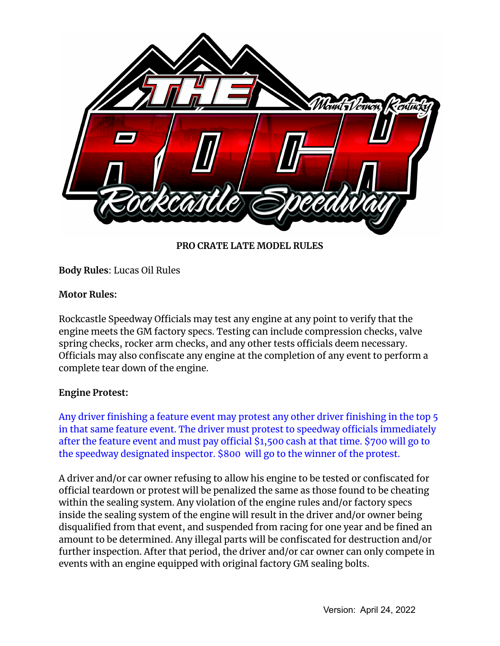

**PRO CRATE LATE MODEL RULES**

**Body Rules**: Lucas Oil Rules

### **Motor Rules:**

Rockcastle Speedway Officials may test any engine at any point to verify that the engine meets the GM factory specs. Testing can include compression checks, valve spring checks, rocker arm checks, and any other tests officials deem necessary. Officials may also confiscate any engine at the completion of any event to perform a complete tear down of the engine.

## **Engine Protest:**

Any driver finishing a feature event may protest any other driver finishing in the top 5 in that same feature event. The driver must protest to speedway officials immediately after the feature event and must pay official \$1,500 cash at that time. \$700 will go to the speedway designated inspector. \$800 will go to the winner of the protest.

A driver and/or car owner refusing to allow his engine to be tested or confiscated for official teardown or protest will be penalized the same as those found to be cheating within the sealing system. Any violation of the engine rules and/or factory specs inside the sealing system of the engine will result in the driver and/or owner being disqualified from that event, and suspended from racing for one year and be fined an amount to be determined. Any illegal parts will be confiscated for destruction and/or further inspection. After that period, the driver and/or car owner can only compete in events with an engine equipped with original factory GM sealing bolts.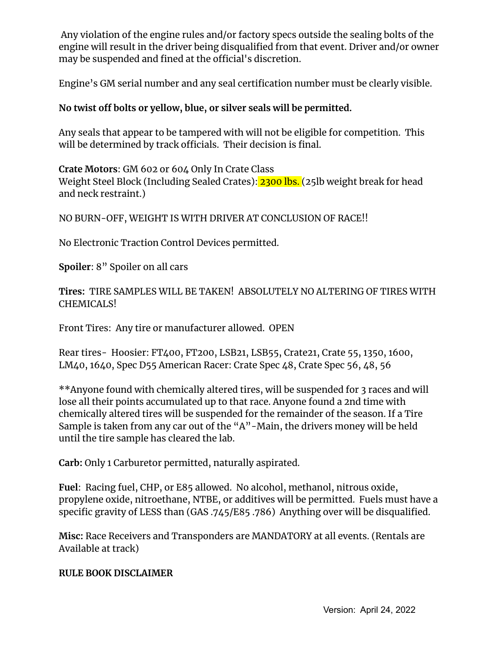Any violation of the engine rules and/or factory specs outside the sealing bolts of the engine will result in the driver being disqualified from that event. Driver and/or owner may be suspended and fined at the official's discretion.

Engine's GM serial number and any seal certification number must be clearly visible.

# **No twist off bolts or yellow, blue, or silver seals will be permitted.**

Any seals that appear to be tampered with will not be eligible for competition. This will be determined by track officials. Their decision is final.

**Crate Motors**: GM 602 or 604 Only In Crate Class Weight Steel Block (Including Sealed Crates): 2300 lbs. (25lb weight break for head and neck restraint.)

NO BURN-OFF, WEIGHT IS WITH DRIVER AT CONCLUSION OF RACE!!

No Electronic Traction Control Devices permitted.

**Spoiler**: 8" Spoiler on all cars

**Tires:** TIRE SAMPLES WILL BE TAKEN! ABSOLUTELY NO ALTERING OF TIRES WITH CHEMICALS!

Front Tires: Any tire or manufacturer allowed. OPEN

Rear tires- Hoosier: FT400, FT200, LSB21, LSB55, Crate21, Crate 55, 1350, 1600, LM40, 1640, Spec D55 American Racer: Crate Spec 48, Crate Spec 56, 48, 56

\*\*Anyone found with chemically altered tires, will be suspended for 3 races and will lose all their points accumulated up to that race. Anyone found a 2nd time with chemically altered tires will be suspended for the remainder of the season. If a Tire Sample is taken from any car out of the "A"-Main, the drivers money will be held until the tire sample has cleared the lab.

**Carb:** Only 1 Carburetor permitted, naturally aspirated.

**Fuel**: Racing fuel, CHP, or E85 allowed. No alcohol, methanol, nitrous oxide, propylene oxide, nitroethane, NTBE, or additives will be permitted. Fuels must have a specific gravity of LESS than (GAS .745/E85 .786) Anything over will be disqualified.

**Misc:** Race Receivers and Transponders are MANDATORY at all events. (Rentals are Available at track)

## **RULE BOOK DISCLAIMER**